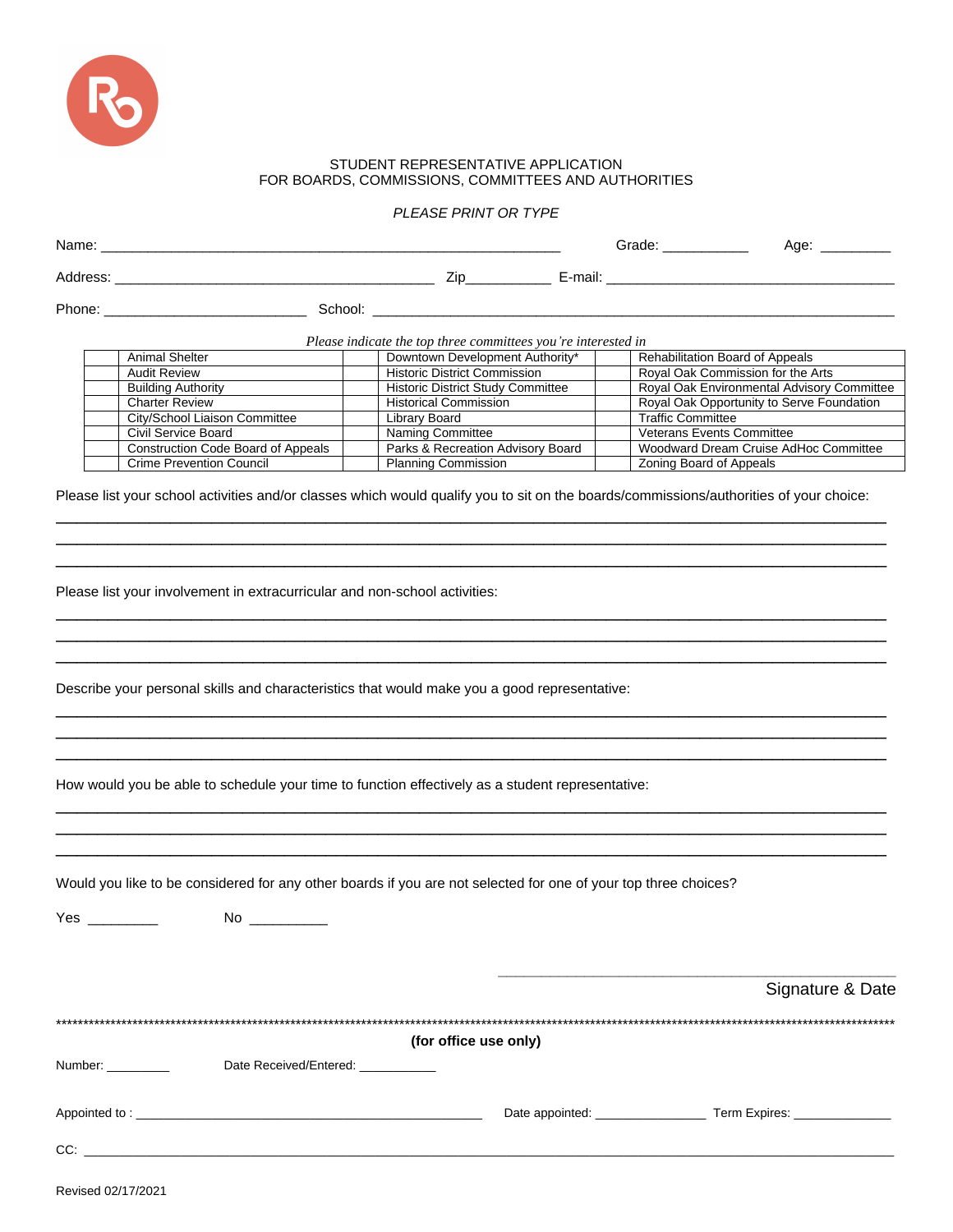

## STUDENT REPRESENTATIVE APPLICATION FOR BOARDS, COMMISSIONS, COMMITTEES AND AUTHORITIES

*PLEASE PRINT OR TYPE*

| Please indicate the top three committees you're interested in<br><b>Animal Shelter</b><br>Downtown Development Authority*<br>Rehabilitation Board of Appeals<br><b>Historic District Commission</b><br><b>Audit Review</b><br>Royal Oak Commission for the Arts<br><b>Historic District Study Committee</b><br>Royal Oak Environmental Advisory Committee<br><b>Building Authority</b><br>Royal Oak Opportunity to Serve Foundation<br><b>Charter Review</b><br><b>Historical Commission</b><br><b>Traffic Committee</b><br>City/School Liaison Committee<br><b>Library Board</b><br>Veterans Events Committee<br>Civil Service Board<br>Naming Committee<br>Woodward Dream Cruise AdHoc Committee<br><b>Construction Code Board of Appeals</b><br>Parks & Recreation Advisory Board<br><b>Crime Prevention Council</b><br><b>Planning Commission</b><br>Zoning Board of Appeals<br>Please list your school activities and/or classes which would qualify you to sit on the boards/commissions/authorities of your choice:<br>Please list your involvement in extracurricular and non-school activities:<br>Describe your personal skills and characteristics that would make you a good representative:<br>How would you be able to schedule your time to function effectively as a student representative:<br>Would you like to be considered for any other boards if you are not selected for one of your top three choices?<br>Yes <b>William Street Street Street</b><br>(for office use only)<br>Date Received/Entered: ____________<br>Number: __________<br>$CC:$ $\qquad \qquad$ | Name: with the contract of the contract of the contract of the contract of the contract of the contract of the contract of the contract of the contract of the contract of the contract of the contract of the contract of the |  |  |  |                  |  |
|-------------------------------------------------------------------------------------------------------------------------------------------------------------------------------------------------------------------------------------------------------------------------------------------------------------------------------------------------------------------------------------------------------------------------------------------------------------------------------------------------------------------------------------------------------------------------------------------------------------------------------------------------------------------------------------------------------------------------------------------------------------------------------------------------------------------------------------------------------------------------------------------------------------------------------------------------------------------------------------------------------------------------------------------------------------------------------------------------------------------------------------------------------------------------------------------------------------------------------------------------------------------------------------------------------------------------------------------------------------------------------------------------------------------------------------------------------------------------------------------------------------------------------------------------------------------------------------------|--------------------------------------------------------------------------------------------------------------------------------------------------------------------------------------------------------------------------------|--|--|--|------------------|--|
|                                                                                                                                                                                                                                                                                                                                                                                                                                                                                                                                                                                                                                                                                                                                                                                                                                                                                                                                                                                                                                                                                                                                                                                                                                                                                                                                                                                                                                                                                                                                                                                           |                                                                                                                                                                                                                                |  |  |  |                  |  |
|                                                                                                                                                                                                                                                                                                                                                                                                                                                                                                                                                                                                                                                                                                                                                                                                                                                                                                                                                                                                                                                                                                                                                                                                                                                                                                                                                                                                                                                                                                                                                                                           |                                                                                                                                                                                                                                |  |  |  |                  |  |
|                                                                                                                                                                                                                                                                                                                                                                                                                                                                                                                                                                                                                                                                                                                                                                                                                                                                                                                                                                                                                                                                                                                                                                                                                                                                                                                                                                                                                                                                                                                                                                                           |                                                                                                                                                                                                                                |  |  |  |                  |  |
|                                                                                                                                                                                                                                                                                                                                                                                                                                                                                                                                                                                                                                                                                                                                                                                                                                                                                                                                                                                                                                                                                                                                                                                                                                                                                                                                                                                                                                                                                                                                                                                           |                                                                                                                                                                                                                                |  |  |  |                  |  |
|                                                                                                                                                                                                                                                                                                                                                                                                                                                                                                                                                                                                                                                                                                                                                                                                                                                                                                                                                                                                                                                                                                                                                                                                                                                                                                                                                                                                                                                                                                                                                                                           |                                                                                                                                                                                                                                |  |  |  |                  |  |
|                                                                                                                                                                                                                                                                                                                                                                                                                                                                                                                                                                                                                                                                                                                                                                                                                                                                                                                                                                                                                                                                                                                                                                                                                                                                                                                                                                                                                                                                                                                                                                                           |                                                                                                                                                                                                                                |  |  |  |                  |  |
|                                                                                                                                                                                                                                                                                                                                                                                                                                                                                                                                                                                                                                                                                                                                                                                                                                                                                                                                                                                                                                                                                                                                                                                                                                                                                                                                                                                                                                                                                                                                                                                           |                                                                                                                                                                                                                                |  |  |  |                  |  |
|                                                                                                                                                                                                                                                                                                                                                                                                                                                                                                                                                                                                                                                                                                                                                                                                                                                                                                                                                                                                                                                                                                                                                                                                                                                                                                                                                                                                                                                                                                                                                                                           |                                                                                                                                                                                                                                |  |  |  |                  |  |
|                                                                                                                                                                                                                                                                                                                                                                                                                                                                                                                                                                                                                                                                                                                                                                                                                                                                                                                                                                                                                                                                                                                                                                                                                                                                                                                                                                                                                                                                                                                                                                                           |                                                                                                                                                                                                                                |  |  |  |                  |  |
|                                                                                                                                                                                                                                                                                                                                                                                                                                                                                                                                                                                                                                                                                                                                                                                                                                                                                                                                                                                                                                                                                                                                                                                                                                                                                                                                                                                                                                                                                                                                                                                           |                                                                                                                                                                                                                                |  |  |  |                  |  |
|                                                                                                                                                                                                                                                                                                                                                                                                                                                                                                                                                                                                                                                                                                                                                                                                                                                                                                                                                                                                                                                                                                                                                                                                                                                                                                                                                                                                                                                                                                                                                                                           |                                                                                                                                                                                                                                |  |  |  |                  |  |
|                                                                                                                                                                                                                                                                                                                                                                                                                                                                                                                                                                                                                                                                                                                                                                                                                                                                                                                                                                                                                                                                                                                                                                                                                                                                                                                                                                                                                                                                                                                                                                                           |                                                                                                                                                                                                                                |  |  |  |                  |  |
|                                                                                                                                                                                                                                                                                                                                                                                                                                                                                                                                                                                                                                                                                                                                                                                                                                                                                                                                                                                                                                                                                                                                                                                                                                                                                                                                                                                                                                                                                                                                                                                           |                                                                                                                                                                                                                                |  |  |  |                  |  |
|                                                                                                                                                                                                                                                                                                                                                                                                                                                                                                                                                                                                                                                                                                                                                                                                                                                                                                                                                                                                                                                                                                                                                                                                                                                                                                                                                                                                                                                                                                                                                                                           |                                                                                                                                                                                                                                |  |  |  |                  |  |
|                                                                                                                                                                                                                                                                                                                                                                                                                                                                                                                                                                                                                                                                                                                                                                                                                                                                                                                                                                                                                                                                                                                                                                                                                                                                                                                                                                                                                                                                                                                                                                                           |                                                                                                                                                                                                                                |  |  |  |                  |  |
|                                                                                                                                                                                                                                                                                                                                                                                                                                                                                                                                                                                                                                                                                                                                                                                                                                                                                                                                                                                                                                                                                                                                                                                                                                                                                                                                                                                                                                                                                                                                                                                           |                                                                                                                                                                                                                                |  |  |  |                  |  |
|                                                                                                                                                                                                                                                                                                                                                                                                                                                                                                                                                                                                                                                                                                                                                                                                                                                                                                                                                                                                                                                                                                                                                                                                                                                                                                                                                                                                                                                                                                                                                                                           |                                                                                                                                                                                                                                |  |  |  | Signature & Date |  |
|                                                                                                                                                                                                                                                                                                                                                                                                                                                                                                                                                                                                                                                                                                                                                                                                                                                                                                                                                                                                                                                                                                                                                                                                                                                                                                                                                                                                                                                                                                                                                                                           |                                                                                                                                                                                                                                |  |  |  |                  |  |
|                                                                                                                                                                                                                                                                                                                                                                                                                                                                                                                                                                                                                                                                                                                                                                                                                                                                                                                                                                                                                                                                                                                                                                                                                                                                                                                                                                                                                                                                                                                                                                                           |                                                                                                                                                                                                                                |  |  |  |                  |  |
|                                                                                                                                                                                                                                                                                                                                                                                                                                                                                                                                                                                                                                                                                                                                                                                                                                                                                                                                                                                                                                                                                                                                                                                                                                                                                                                                                                                                                                                                                                                                                                                           |                                                                                                                                                                                                                                |  |  |  |                  |  |
|                                                                                                                                                                                                                                                                                                                                                                                                                                                                                                                                                                                                                                                                                                                                                                                                                                                                                                                                                                                                                                                                                                                                                                                                                                                                                                                                                                                                                                                                                                                                                                                           |                                                                                                                                                                                                                                |  |  |  |                  |  |
|                                                                                                                                                                                                                                                                                                                                                                                                                                                                                                                                                                                                                                                                                                                                                                                                                                                                                                                                                                                                                                                                                                                                                                                                                                                                                                                                                                                                                                                                                                                                                                                           |                                                                                                                                                                                                                                |  |  |  |                  |  |

Revised 02/17/2021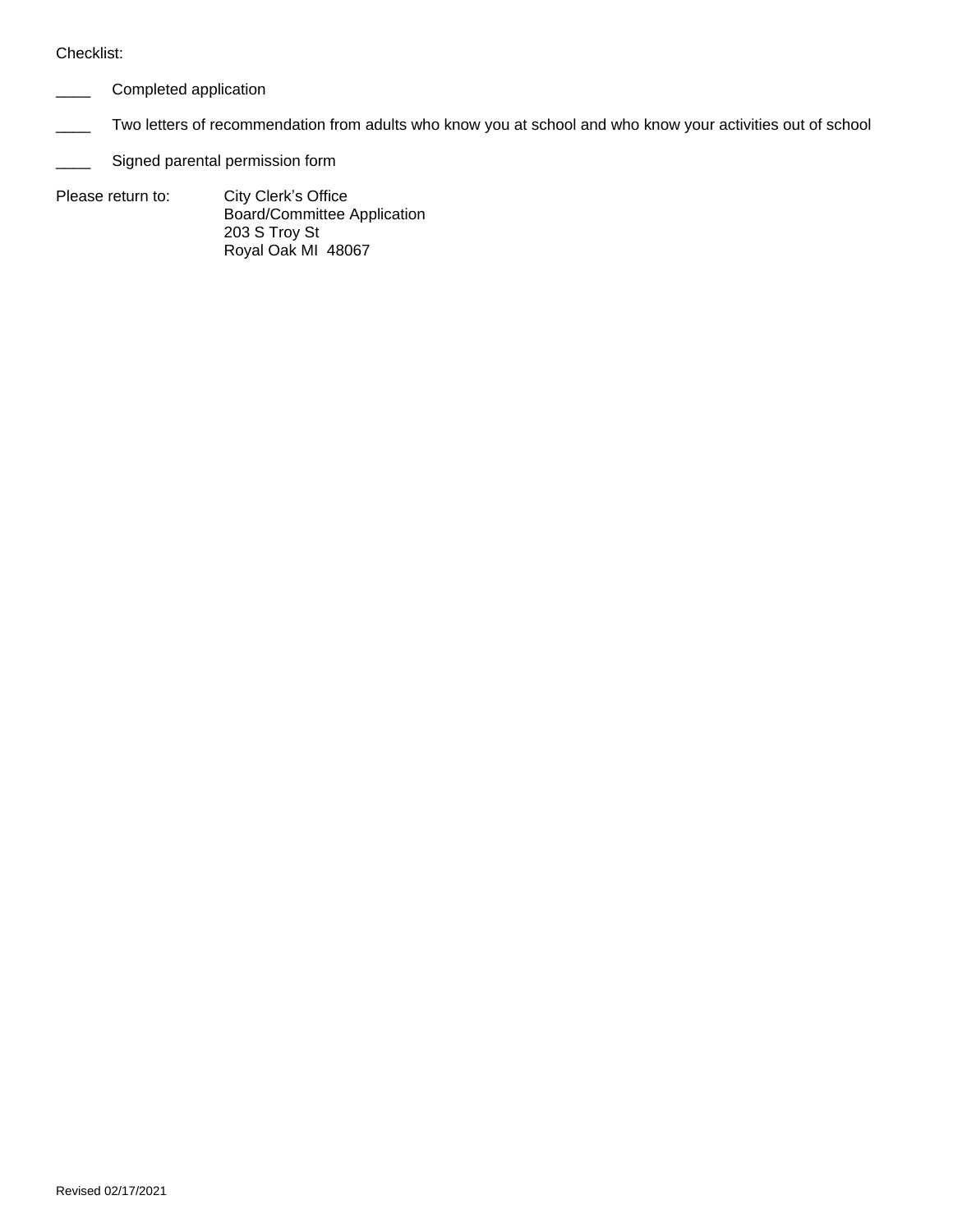## Checklist:

- Completed application
- Two letters of recommendation from adults who know you at school and who know your activities out of school
- Signed parental permission form
- Please return to: City Clerk's Office Board/Committee Application 203 S Troy St Royal Oak MI 48067